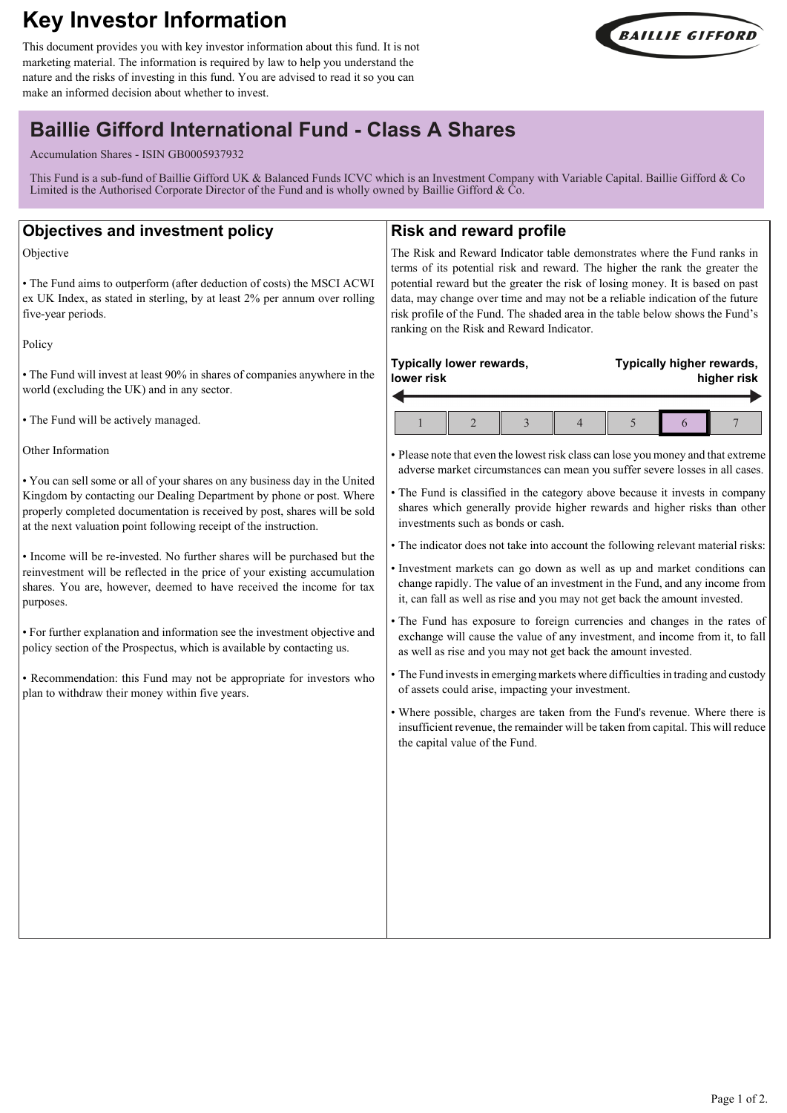# **Key Investor Information**

This document provides you with key investor information about this fund. It is not marketing material. The information is required by law to help you understand the nature and the risks of investing in this fund. You are advised to read it so you can make an informed decision about whether to invest.



# **Baillie Gifford International Fund - Class A Shares**

Accumulation Shares - ISIN GB0005937932

This Fund is a sub-fund of Baillie Gifford UK & Balanced Funds ICVC which is an Investment Company with Variable Capital. Baillie Gifford & Co Limited is the Authorised Corporate Director of the Fund and is wholly owned by Baillie Gifford  $\& \dot{C}$ o.

## **Objectives and investment policy**

Objective

• The Fund aims to outperform (after deduction of costs) the MSCI ACWI ex UK Index, as stated in sterling, by at least 2% per annum over rolling five-year periods.

Policy

• The Fund will invest at least 90% in shares of companies anywhere in the world (excluding the UK) and in any sector.

• The Fund will be actively managed.

Other Information

• You can sell some or all of your shares on any business day in the United Kingdom by contacting our Dealing Department by phone or post. Where properly completed documentation is received by post, shares will be sold at the next valuation point following receipt of the instruction.

• Income will be re-invested. No further shares will be purchased but the reinvestment will be reflected in the price of your existing accumulation shares. You are, however, deemed to have received the income for tax purposes.

• For further explanation and information see the investment objective and policy section of the Prospectus, which is available by contacting us.

• Recommendation: this Fund may not be appropriate for investors who plan to withdraw their money within five years.

# **Risk and reward profile**

The Risk and Reward Indicator table demonstrates where the Fund ranks in terms of its potential risk and reward. The higher the rank the greater the potential reward but the greater the risk of losing money. It is based on past data, may change over time and may not be a reliable indication of the future risk profile of the Fund. The shaded area in the table below shows the Fund's ranking on the Risk and Reward Indicator.

#### **Typically lower rewards, lower risk Typically higher rewards, higher risk**  $1 \parallel 2 \parallel 3 \parallel 4 \parallel 5 \parallel 6 \parallel 7$

• Please note that even the lowest risk class can lose you money and that extreme adverse market circumstances can mean you suffer severe losses in all cases.

• The Fund is classified in the category above because it invests in company shares which generally provide higher rewards and higher risks than other investments such as bonds or cash.

• The indicator does not take into account the following relevant material risks:

• Investment markets can go down as well as up and market conditions can change rapidly. The value of an investment in the Fund, and any income from it, can fall as well as rise and you may not get back the amount invested.

• The Fund has exposure to foreign currencies and changes in the rates of exchange will cause the value of any investment, and income from it, to fall as well as rise and you may not get back the amount invested.

• The Fund invests in emerging markets where difficulties in trading and custody of assets could arise, impacting your investment.

• Where possible, charges are taken from the Fund's revenue. Where there is insufficient revenue, the remainder will be taken from capital. This will reduce the capital value of the Fund.